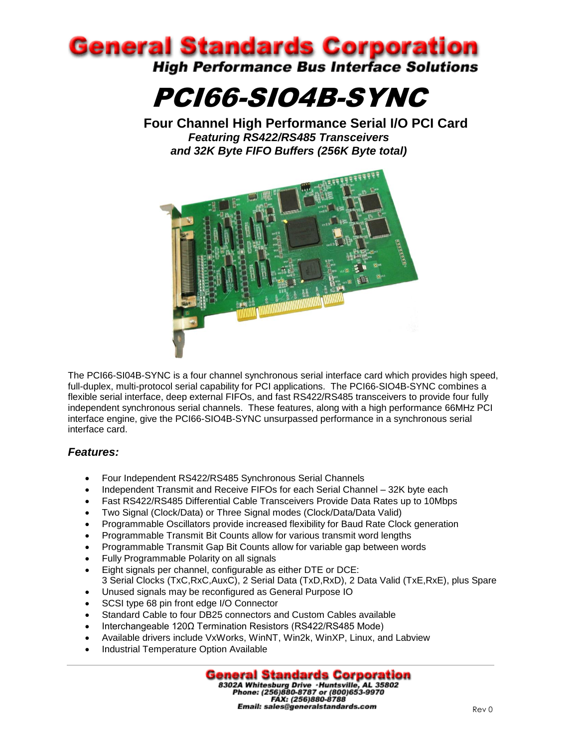

PCI66-SIO4B-SYNC

**Four Channel High Performance Serial I/O PCI Card** *Featuring RS422/RS485 Transceivers and 32K Byte FIFO Buffers (256K Byte total)*



The PCI66-SI04B-SYNC is a four channel synchronous serial interface card which provides high speed, full-duplex, multi-protocol serial capability for PCI applications. The PCI66-SIO4B-SYNC combines a flexible serial interface, deep external FIFOs, and fast RS422/RS485 transceivers to provide four fully independent synchronous serial channels. These features, along with a high performance 66MHz PCI interface engine, give the PCI66-SIO4B-SYNC unsurpassed performance in a synchronous serial interface card.

# *Features:*

- Four Independent RS422/RS485 Synchronous Serial Channels
- Independent Transmit and Receive FIFOs for each Serial Channel 32K byte each
- Fast RS422/RS485 Differential Cable Transceivers Provide Data Rates up to 10Mbps
- Two Signal (Clock/Data) or Three Signal modes (Clock/Data/Data Valid)
- Programmable Oscillators provide increased flexibility for Baud Rate Clock generation
- Programmable Transmit Bit Counts allow for various transmit word lengths
- Programmable Transmit Gap Bit Counts allow for variable gap between words
- Fully Programmable Polarity on all signals
- Eight signals per channel, configurable as either DTE or DCE: 3 Serial Clocks (TxC,RxC,AuxC), 2 Serial Data (TxD,RxD), 2 Data Valid (TxE,RxE), plus Spare
- Unused signals may be reconfigured as General Purpose IO
- SCSI type 68 pin front edge I/O Connector
- Standard Cable to four DB25 connectors and Custom Cables available
- Interchangeable 120Ω Termination Resistors (RS422/RS485 Mode)
- Available drivers include VxWorks, WinNT, Win2k, WinXP, Linux, and Labview
- Industrial Temperature Option Available

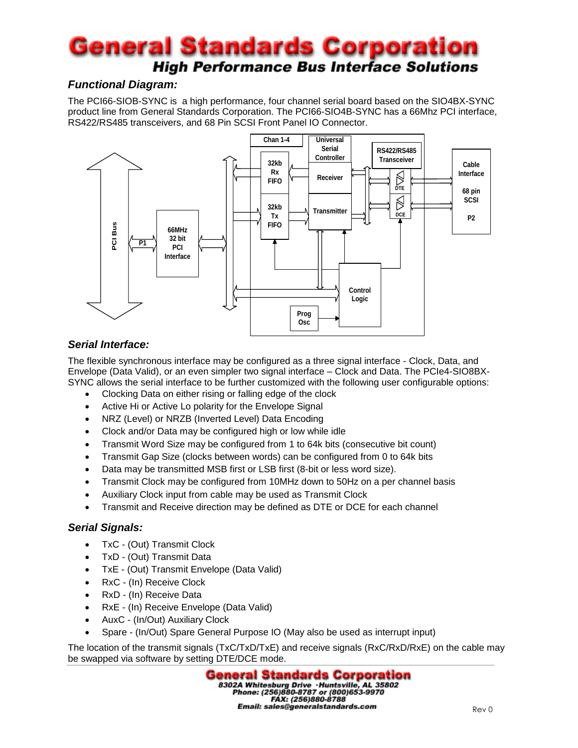# **General Standards Corporation High Performance Bus Interface Solutions**

# *Functional Diagram:*

The PCI66-SIOB-SYNC is a high performance, four channel serial board based on the SIO4BX-SYNC product line from General Standards Corporation. The PCI66-SIO4B-SYNC has a 66Mhz PCI interface, RS422/RS485 transceivers, and 68 Pin SCSI Front Panel IO Connector.



# *Serial Interface:*

The flexible synchronous interface may be configured as a three signal interface - Clock, Data, and Envelope (Data Valid), or an even simpler two signal interface – Clock and Data. The PCIe4-SIO8BX-SYNC allows the serial interface to be further customized with the following user configurable options:

- Clocking Data on either rising or falling edge of the clock
- Active Hi or Active Lo polarity for the Envelope Signal
- NRZ (Level) or NRZB (Inverted Level) Data Encoding
- Clock and/or Data may be configured high or low while idle
- Transmit Word Size may be configured from 1 to 64k bits (consecutive bit count)
- Transmit Gap Size (clocks between words) can be configured from 0 to 64k bits
- Data may be transmitted MSB first or LSB first (8-bit or less word size).
- Transmit Clock may be configured from 10MHz down to 50Hz on a per channel basis
- Auxiliary Clock input from cable may be used as Transmit Clock
- Transmit and Receive direction may be defined as DTE or DCE for each channel

## *Serial Signals:*

- TxC (Out) Transmit Clock
- TxD (Out) Transmit Data
- TxE (Out) Transmit Envelope (Data Valid)
- RxC (In) Receive Clock
- RxD (In) Receive Data
- RxE (In) Receive Envelope (Data Valid)
- AuxC (In/Out) Auxiliary Clock
- Spare (In/Out) Spare General Purpose IO (May also be used as interrupt input)

The location of the transmit signals (TxC/TxD/TxE) and receive signals (RxC/RxD/RxE) on the cable may be swapped via software by setting DTE/DCE mode.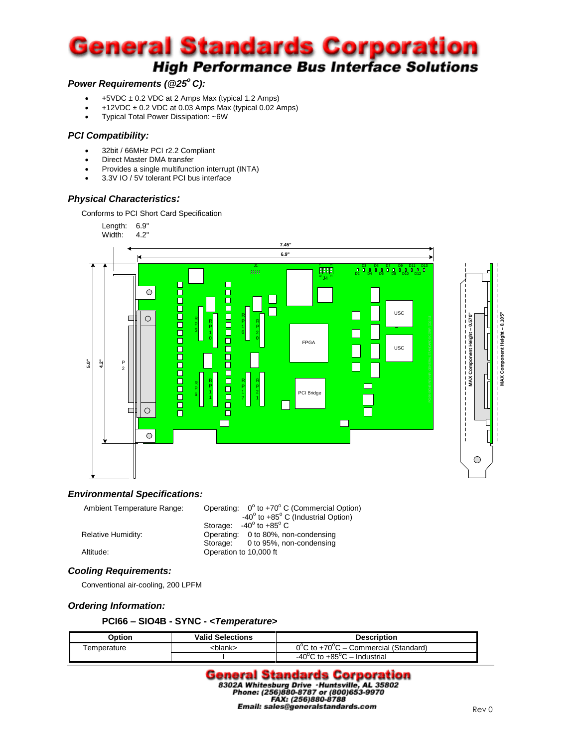# **General Standards Corporation High Performance Bus Interface Solutions**

### *Power Requirements (@25<sup>o</sup>C):*

- $+5VDC \pm 0.2 VDC$  at 2 Amps Max (typical 1.2 Amps)
- +12VDC  $\pm$  0.2 VDC at 0.03 Amps Max (typical 0.02 Amps)
- Typical Total Power Dissipation: ~6W

#### *PCI Compatibility:*

- 32bit / 66MHz PCI r2.2 Compliant
- Direct Master DMA transfer
- Provides a single multifunction interrupt (INTA)
- 3.3V IO / 5V tolerant PCI bus interface

#### *Physical Characteristics:*

Conforms to PCI Short Card Specification





#### *Environmental Specifications:*

Ambient Temperature Range: Operating:  $0^{\circ}$  to +70° C (Commercial Option)  $-40^\circ$ -40 $^{\circ}$  to +85 $^{\circ}$  C (Industrial Option) Storage: -40 $^{\circ}$  to +85 $^{\circ}$  C Relative Humidity: Charles Containg: 0 to 80%, non-condensing Storage: 0 to 95%, non-condensing Altitude: Operation to 10,000 ft

#### *Cooling Requirements:*

Conventional air-cooling, 200 LPFM

#### *Ordering Information:*

#### **PCI66 – SIO4B - SYNC - <***Temperature***>**

| <b>D</b> otion | <b>Valid Selections</b> | <b>Description</b>                                        |  |
|----------------|-------------------------|-----------------------------------------------------------|--|
| Femperature    | :blank>                 | $0^{\circ}$ C to +70 $^{\circ}$ C – Commercial (Standard) |  |
|                |                         | $-40^{\circ}$ C to $+85^{\circ}$ C – Industrial           |  |

# **General Standards Corporation** 83024 Whitesburg Drive . Huntsville, AL 35802<br>Phone: (256)880-8787 or (800)653-9970<br>FAX: (256)880-8788 Email: sales@generalstandards.com